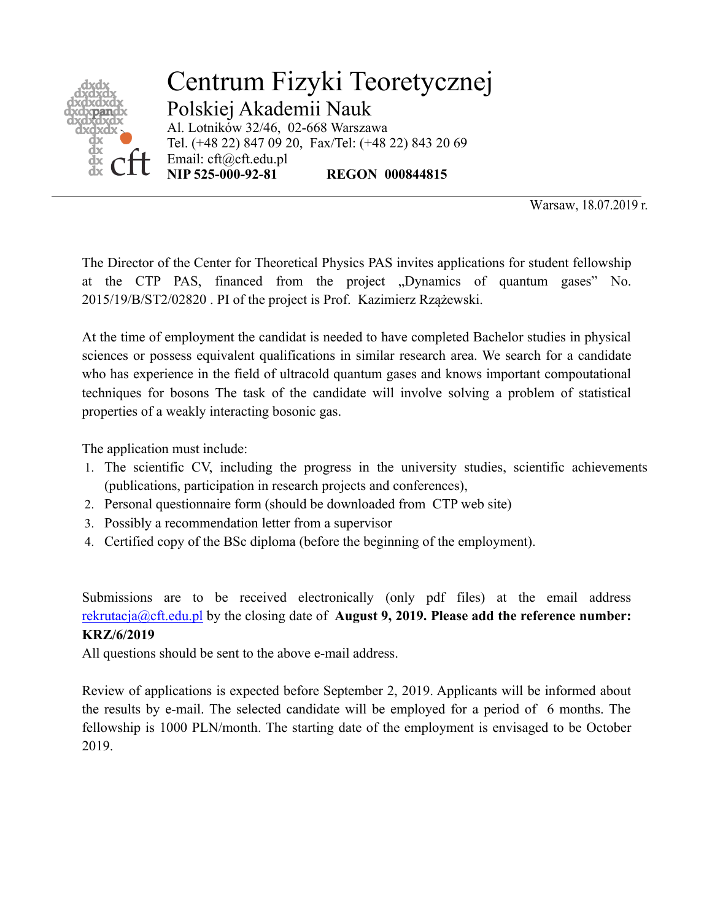

Centrum Fizyki Teoretycznej Polskiej Akademii Nauk Al. Lotników 32/46, 02-668 Warszawa Tel. (+48 22) 847 09 20, Fax/Tel: (+48 22) 843 20 69 Email: cft@cft.edu.pl<br>NIP 525-000-92-81 **REGON 000844815** 

Warsaw, 18.07.2019 r.

The Director of the Center for Theoretical Physics PAS invites applications for student fellowship at the CTP PAS, financed from the project "Dynamics of quantum gases" No. 2015/19/B/ST2/02820 . PI of the project is Prof. Kazimierz Rzążewski.

At the time of employment the candidat is needed to have completed Bachelor studies in physical sciences or possess equivalent qualifications in similar research area. We search for a candidate who has experience in the field of ultracold quantum gases and knows important compoutational techniques for bosons The task of the candidate will involve solving a problem of statistical properties of a weakly interacting bosonic gas.

The application must include:

- 1. The scientific CV, including the progress in the university studies, scientific achievements (publications, participation in research projects and conferences),
- 2. Personal questionnaire form (should be downloaded from CTP web site)
- 3. Possibly a recommendation letter from a supervisor
- 4. Certified copy of the BSc diploma (before the beginning of the employment).

Submissions are to be received electronically (only pdf files) at the email address rekrutacja@cft.edu.pl by the closing date of **August 9, 2019. Please add the reference number: KRZ/6/2019**

All questions should be sent to the above e-mail address.

Review of applications is expected before September 2, 2019. Applicants will be informed about the results by e-mail. The selected candidate will be employed for a period of 6 months. The fellowship is 1000 PLN/month. The starting date of the employment is envisaged to be October 2019.